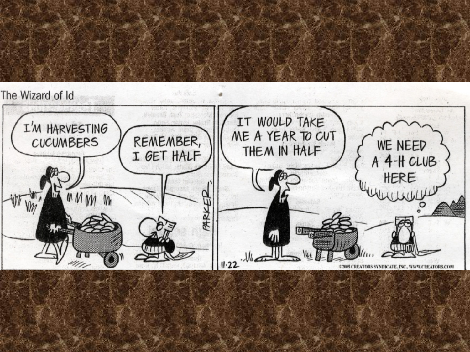

#### The Wizard of Id

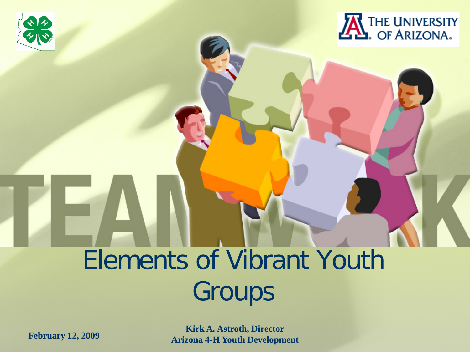



### Elements of Vibrant Youth Groups

**February 12, 2009 Kirk A. Astroth, Director Arizona 4-H Youth Development**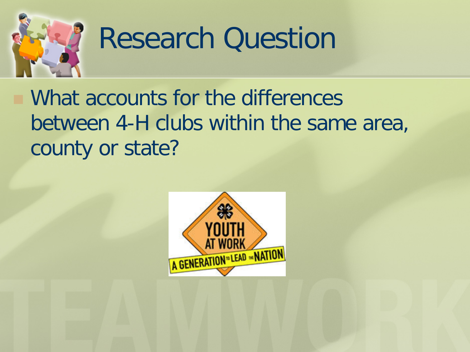

## Research Question

 What accounts for the differences between 4-H clubs within the same area, county or state?

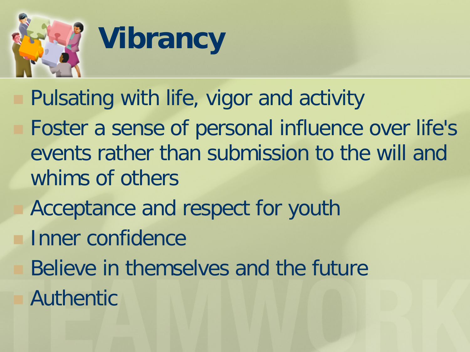

- Pulsating with life, vigor and activity
	- Foster a sense of personal influence over life's events rather than submission to the will and whims of others
		- Acceptance and respect for youth
	- Inner confidence
	- Believe in themselves and the future
	- Authentic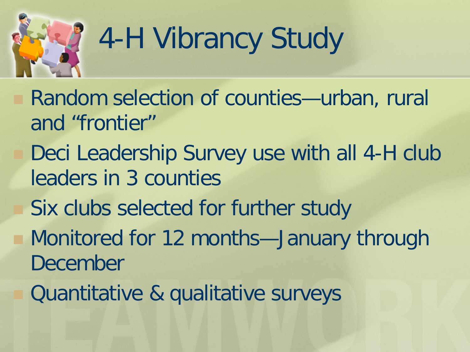

## 4-H Vibrancy Study

- Random selection of counties—urban, rural and "frontier"
	- Deci Leadership Survey use with all 4-H club leaders in 3 counties
	- Six clubs selected for further study
	- Monitored for 12 months—January through December
	- Quantitative & qualitative surveys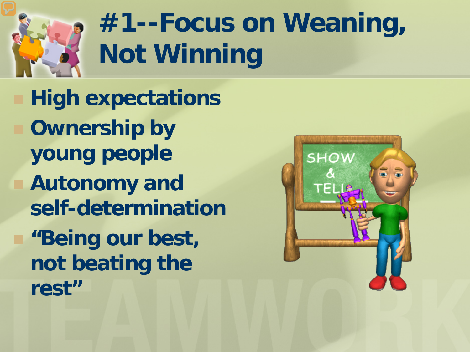

## **#1--Focus on Weaning, Not Winning**

 **High expectations Ownership by young people Autonomy and self-determination "Being our best, not beating the rest"**

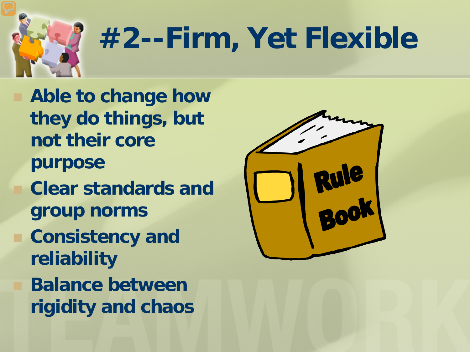

## **#2--Firm, Yet Flexible**

 **Able to change how they do things, but not their core purpose Clear standards and group norms Consistency and reliability Balance between rigidity and chaos**

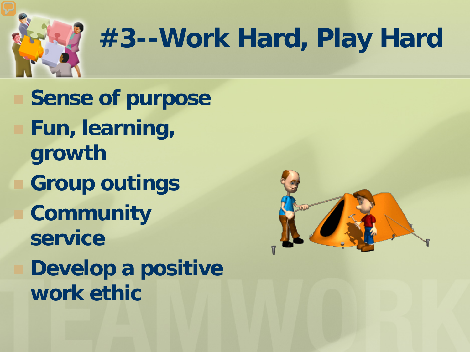

## **#3--Work Hard, Play Hard**

 **Sense of purpose Fun, learning, growth Group outings Community service Develop a positive work ethic**

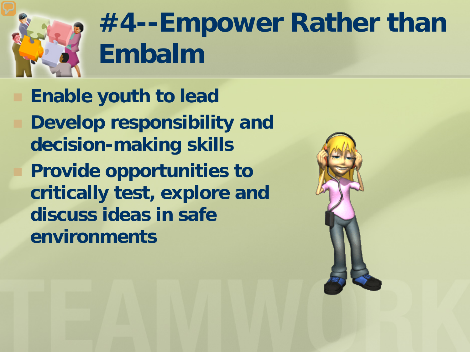

## **#4--Empower Rather than Embalm**

 **Enable youth to lead Develop responsibility and decision-making skills Provide opportunities to critically test, explore and discuss ideas in safe environments**

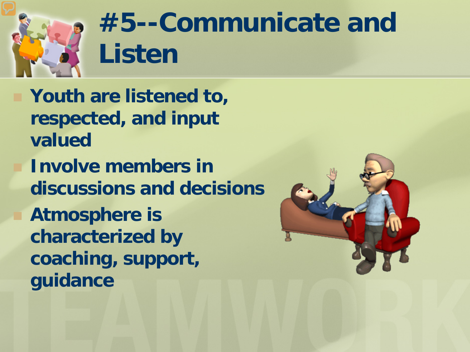

## **#5--Communicate and Listen**

 **Youth are listened to, respected, and input valued Involve members in discussions and decisions Atmosphere is** 

**characterized by coaching, support, guidance**

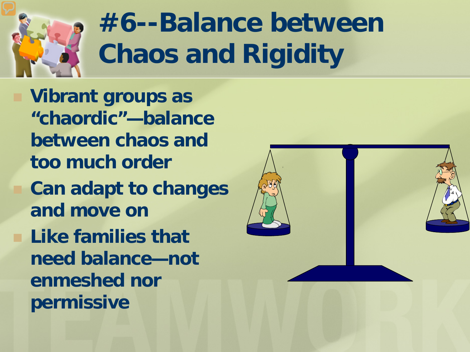

## **#6--Balance between Chaos and Rigidity**

 **Vibrant groups as "chaordic"—balance between chaos and too much order Can adapt to changes and move on Like families that need balance—not enmeshed nor permissive**

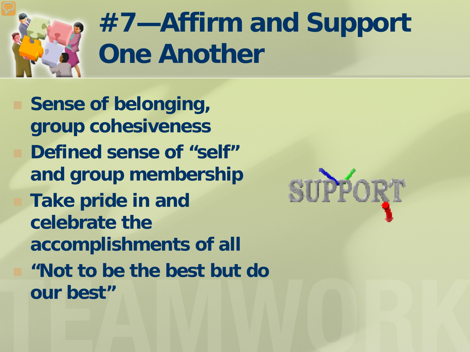

## **#7—Affirm and Support One Another**

 **Sense of belonging, group cohesiveness Defined sense of "self" and group membership Take pride in and celebrate the accomplishments of all "Not to be the best but do our best"**

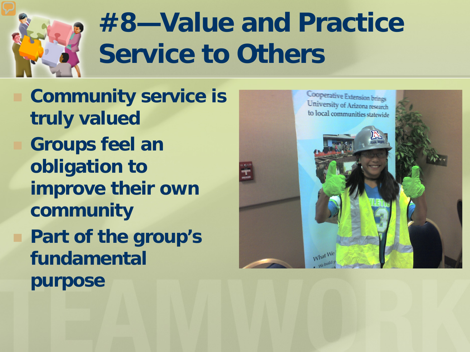

## **#8—Value and Practice Service to Others**

 **Community service is truly valued Groups feel an obligation to improve their own community Part of the group's fundamental purpose**

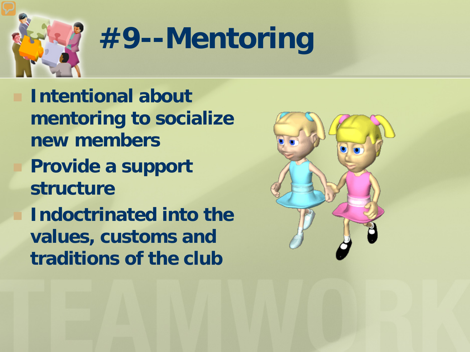

## **#9--Mentoring**

 **Intentional about mentoring to socialize new members Provide a support structure Indoctrinated into the values, customs and traditions of the club**

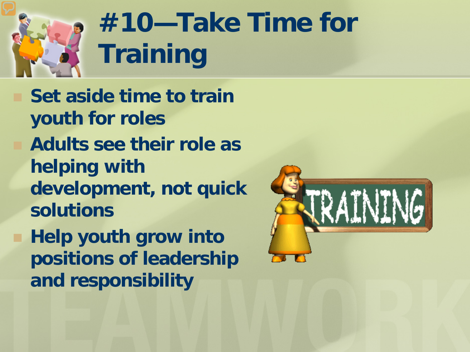

## **#10—Take Time for Training**

 **Set aside time to train youth for roles Adults see their role as helping with development, not quick solutions Help youth grow into positions of leadership** 

**and responsibility**

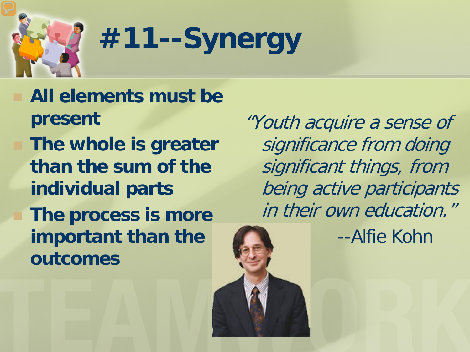

# **#11--Synergy**

 **All elements must be present The whole is greater than the sum of the individual parts The process is more important than the outcomes**

"Youth acquire a sense of significance from doing significant things, from being active participants in their own education."

--Alfie Kohn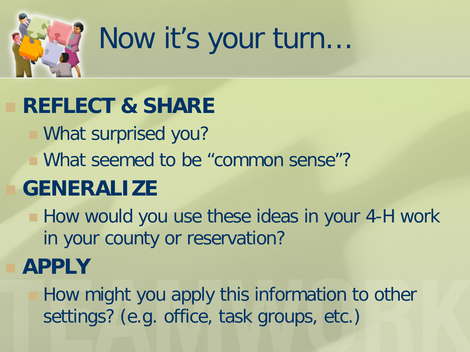

## Now it's your turn…

#### **REFLECT & SHARE**

- What surprised you?
- What seemed to be "common sense"?

#### **GENERALIZE**

**How would you use these ideas in your 4-H work** in your county or reservation?

#### **APPLY**

 How might you apply this information to other settings? (e.g. office, task groups, etc.)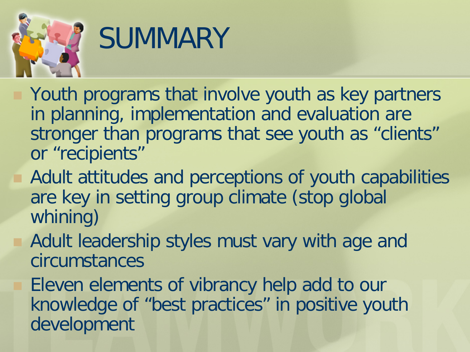

## **SUMMARY**

- Youth programs that involve youth as key partners in planning, implementation and evaluation are stronger than programs that see youth as "clients" or "recipients"
- Adult attitudes and perceptions of youth capabilities are key in setting group climate (stop global whining)
- Adult leadership styles must vary with age and circumstances
- Eleven elements of vibrancy help add to our knowledge of "best practices" in positive youth development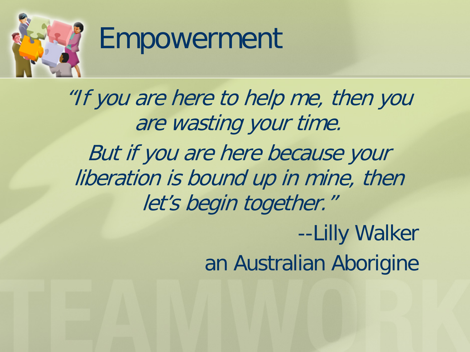

#### Empowerment

"If you are here to help me, then you are wasting your time. But if you are here because your liberation is bound up in mine, then let's begin together." --Lilly Walker an Australian Aborigine